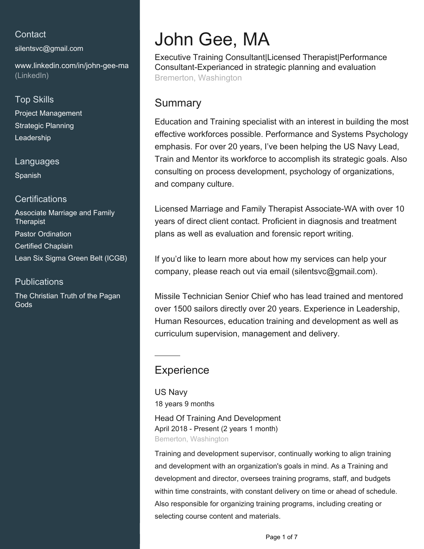# **Contact**

[silentsvc@gmail.com](mailto:silentsvc@gmail.com)

[www.linkedin.com/in/john-gee-ma](https://www.linkedin.com/in/john-gee-ma?jobid=1234&lipi=urn%3Ali%3Apage%3Ad_jobs_easyapply_pdfgenresume%3BbBM%2FpX%2BBS9G2wsl%2Bg4xXKQ%3D%3D&licu=urn%3Ali%3Acontrol%3Ad_jobs_easyapply_pdfgenresume-v02_profile) [\(LinkedIn\)](https://www.linkedin.com/in/john-gee-ma?jobid=1234&lipi=urn%3Ali%3Apage%3Ad_jobs_easyapply_pdfgenresume%3BbBM%2FpX%2BBS9G2wsl%2Bg4xXKQ%3D%3D&licu=urn%3Ali%3Acontrol%3Ad_jobs_easyapply_pdfgenresume-v02_profile)

## Top Skills

Project Management Strategic Planning Leadership

### Languages

Spanish

## **Certifications**

Associate Marriage and Family **Therapist** Pastor Ordination Certified Chaplain Lean Six Sigma Green Belt (ICGB)

## **Publications**

The Christian Truth of the Pagan Gods

# John Gee, MA

Executive Training Consultant|Licensed Therapist|Performance Consultant-Experianced in strategic planning and evaluation Bremerton, Washington

# Summary

Education and Training specialist with an interest in building the most effective workforces possible. Performance and Systems Psychology emphasis. For over 20 years, I've been helping the US Navy Lead, Train and Mentor its workforce to accomplish its strategic goals. Also consulting on process development, psychology of organizations, and company culture.

Licensed Marriage and Family Therapist Associate-WA with over 10 years of direct client contact. Proficient in diagnosis and treatment plans as well as evaluation and forensic report writing.

If you'd like to learn more about how my services can help your company, please reach out via email (silentsvc@gmail.com).

Missile Technician Senior Chief who has lead trained and mentored over 1500 sailors directly over 20 years. Experience in Leadership, Human Resources, education training and development as well as curriculum supervision, management and delivery.

# **Experience**

US Navy 18 years 9 months

Head Of Training And Development April 2018 - Present (2 years 1 month) Bemerton, Washington

Training and development supervisor, continually working to align training and development with an organization's goals in mind. As a Training and development and director, oversees training programs, staff, and budgets within time constraints, with constant delivery on time or ahead of schedule. Also responsible for organizing training programs, including creating or selecting course content and materials.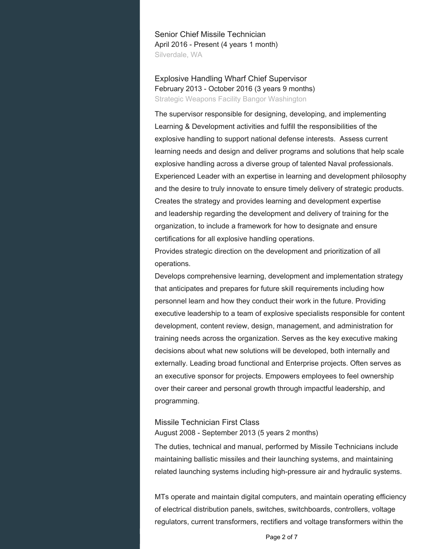Senior Chief Missile Technician April 2016 - Present (4 years 1 month) Silverdale, WA

Explosive Handling Wharf Chief Supervisor February 2013 - October 2016 (3 years 9 months) Strategic Weapons Facility Bangor Washington

The supervisor responsible for designing, developing, and implementing Learning & Development activities and fulfill the responsibilities of the explosive handling to support national defense interests. Assess current learning needs and design and deliver programs and solutions that help scale explosive handling across a diverse group of talented Naval professionals. Experienced Leader with an expertise in learning and development philosophy and the desire to truly innovate to ensure timely delivery of strategic products. Creates the strategy and provides learning and development expertise and leadership regarding the development and delivery of training for the organization, to include a framework for how to designate and ensure certifications for all explosive handling operations.

Provides strategic direction on the development and prioritization of all operations.

Develops comprehensive learning, development and implementation strategy that anticipates and prepares for future skill requirements including how personnel learn and how they conduct their work in the future. Providing executive leadership to a team of explosive specialists responsible for content development, content review, design, management, and administration for training needs across the organization. Serves as the key executive making decisions about what new solutions will be developed, both internally and externally. Leading broad functional and Enterprise projects. Often serves as an executive sponsor for projects. Empowers employees to feel ownership over their career and personal growth through impactful leadership, and programming.

#### Missile Technician First Class August 2008 - September 2013 (5 years 2 months)

The duties, technical and manual, performed by Missile Technicians include maintaining ballistic missiles and their launching systems, and maintaining related launching systems including high-pressure air and hydraulic systems.

MTs operate and maintain digital computers, and maintain operating efficiency of electrical distribution panels, switches, switchboards, controllers, voltage regulators, current transformers, rectifiers and voltage transformers within the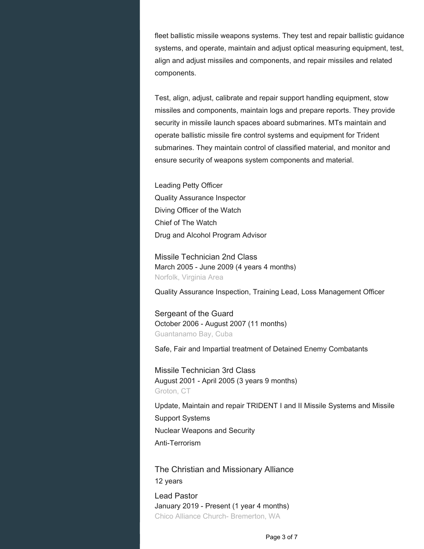fleet ballistic missile weapons systems. They test and repair ballistic guidance systems, and operate, maintain and adjust optical measuring equipment, test, align and adjust missiles and components, and repair missiles and related components.

Test, align, adjust, calibrate and repair support handling equipment, stow missiles and components, maintain logs and prepare reports. They provide security in missile launch spaces aboard submarines. MTs maintain and operate ballistic missile fire control systems and equipment for Trident submarines. They maintain control of classified material, and monitor and ensure security of weapons system components and material.

Leading Petty Officer Quality Assurance Inspector Diving Officer of the Watch Chief of The Watch Drug and Alcohol Program Advisor

Missile Technician 2nd Class March 2005 - June 2009 (4 years 4 months) Norfolk, Virginia Area

Quality Assurance Inspection, Training Lead, Loss Management Officer

Sergeant of the Guard October 2006 - August 2007 (11 months) Guantanamo Bay, Cuba

Safe, Fair and Impartial treatment of Detained Enemy Combatants

Missile Technician 3rd Class August 2001 - April 2005 (3 years 9 months) Groton, CT

Update, Maintain and repair TRIDENT I and II Missile Systems and Missile Support Systems Nuclear Weapons and Security Anti-Terrorism

The Christian and Missionary Alliance 12 years Lead Pastor January 2019 - Present (1 year 4 months) Chico Alliance Church- Bremerton, WA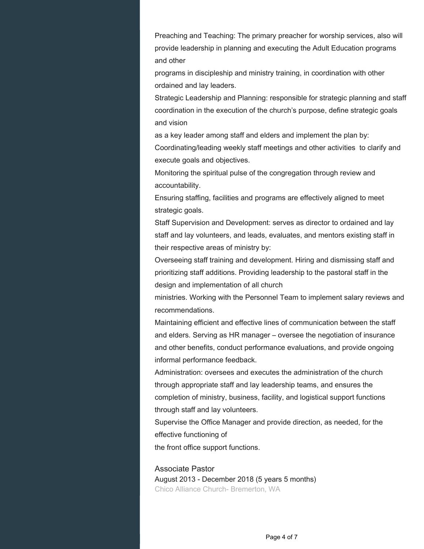Preaching and Teaching: The primary preacher for worship services, also will provide leadership in planning and executing the Adult Education programs and other

programs in discipleship and ministry training, in coordination with other ordained and lay leaders.

Strategic Leadership and Planning: responsible for strategic planning and staff coordination in the execution of the church's purpose, define strategic goals and vision

as a key leader among staff and elders and implement the plan by: Coordinating/leading weekly staff meetings and other activities to clarify and execute goals and objectives.

Monitoring the spiritual pulse of the congregation through review and accountability.

Ensuring staffing, facilities and programs are effectively aligned to meet strategic goals.

Staff Supervision and Development: serves as director to ordained and lay staff and lay volunteers, and leads, evaluates, and mentors existing staff in their respective areas of ministry by:

Overseeing staff training and development. Hiring and dismissing staff and prioritizing staff additions. Providing leadership to the pastoral staff in the design and implementation of all church

ministries. Working with the Personnel Team to implement salary reviews and recommendations.

Maintaining efficient and effective lines of communication between the staff and elders. Serving as HR manager – oversee the negotiation of insurance and other benefits, conduct performance evaluations, and provide ongoing informal performance feedback.

Administration: oversees and executes the administration of the church through appropriate staff and lay leadership teams, and ensures the completion of ministry, business, facility, and logistical support functions through staff and lay volunteers.

Supervise the Office Manager and provide direction, as needed, for the effective functioning of

the front office support functions.

Associate Pastor August 2013 - December 2018 (5 years 5 months) Chico Alliance Church- Bremerton, WA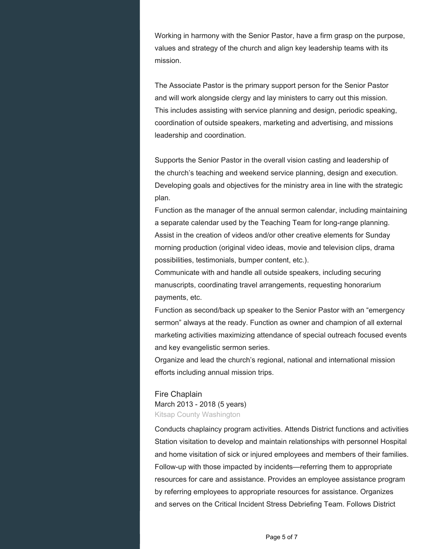Working in harmony with the Senior Pastor, have a firm grasp on the purpose, values and strategy of the church and align key leadership teams with its mission.

The Associate Pastor is the primary support person for the Senior Pastor and will work alongside clergy and lay ministers to carry out this mission. This includes assisting with service planning and design, periodic speaking, coordination of outside speakers, marketing and advertising, and missions leadership and coordination.

Supports the Senior Pastor in the overall vision casting and leadership of the church's teaching and weekend service planning, design and execution. Developing goals and objectives for the ministry area in line with the strategic plan.

Function as the manager of the annual sermon calendar, including maintaining a separate calendar used by the Teaching Team for long-range planning. Assist in the creation of videos and/or other creative elements for Sunday morning production (original video ideas, movie and television clips, drama possibilities, testimonials, bumper content, etc.).

Communicate with and handle all outside speakers, including securing manuscripts, coordinating travel arrangements, requesting honorarium payments, etc.

Function as second/back up speaker to the Senior Pastor with an "emergency sermon" always at the ready. Function as owner and champion of all external marketing activities maximizing attendance of special outreach focused events and key evangelistic sermon series.

Organize and lead the church's regional, national and international mission efforts including annual mission trips.

#### Fire Chaplain

March 2013 - 2018 (5 years) Kitsap County Washington

Conducts chaplaincy program activities. Attends District functions and activities Station visitation to develop and maintain relationships with personnel Hospital and home visitation of sick or injured employees and members of their families. Follow-up with those impacted by incidents—referring them to appropriate resources for care and assistance. Provides an employee assistance program by referring employees to appropriate resources for assistance. Organizes and serves on the Critical Incident Stress Debriefing Team. Follows District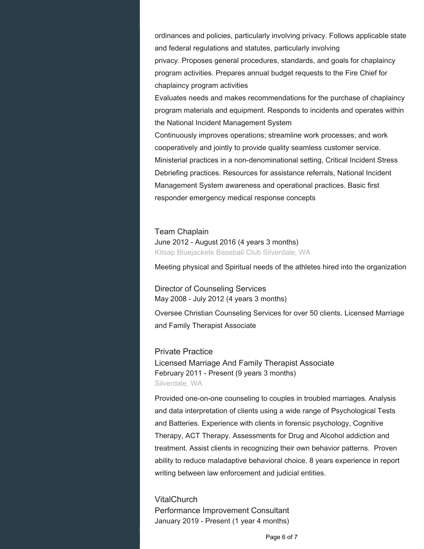ordinances and policies, particularly involving privacy. Follows applicable state and federal regulations and statutes, particularly involving privacy. Proposes general procedures, standards, and goals for chaplaincy program activities. Prepares annual budget requests to the Fire Chief for chaplaincy program activities

Evaluates needs and makes recommendations for the purchase of chaplaincy program materials and equipment. Responds to incidents and operates within the National Incident Management System

Continuously improves operations; streamline work processes; and work cooperatively and jointly to provide quality seamless customer service. Ministerial practices in a non-denominational setting, Critical Incident Stress Debriefing practices. Resources for assistance referrals, National Incident Management System awareness and operational practices. Basic first responder emergency medical response concepts

Team Chaplain June 2012 - August 2016 (4 years 3 months) Kitsap Bluejackets Baseball Club Silverdale, WA

Meeting physical and Spiritual needs of the athletes hired into the organization

Director of Counseling Services May 2008 - July 2012 (4 years 3 months)

Oversee Christian Counseling Services for over 50 clients. Licensed Marriage and Family Therapist Associate

Private Practice Licensed Marriage And Family Therapist Associate February 2011 - Present (9 years 3 months) Silverdale, WA

Provided one-on-one counseling to couples in troubled marriages. Analysis and data interpretation of clients using a wide range of Psychological Tests and Batteries. Experience with clients in forensic psychology, Cognitive Therapy, ACT Therapy. Assessments for Drug and Alcohol addiction and treatment. Assist clients in recognizing their own behavior patterns. Proven ability to reduce maladaptive behavioral choice. 8 years experience in report writing between law enforcement and judicial entities.

**VitalChurch** Performance Improvement Consultant January 2019 - Present (1 year 4 months)